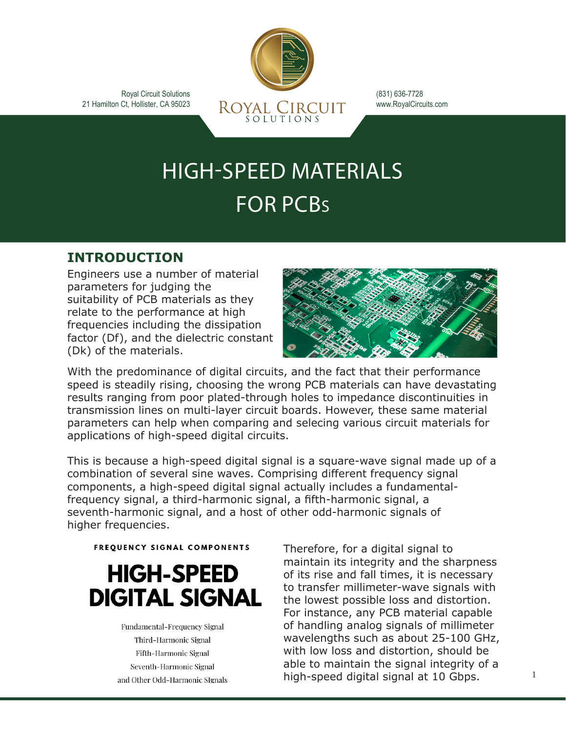Royal Circuit Solutions 21 Hamilton Ct, Hollister, CA 95023



(831) 636-7728 www.RoyalCircuits.com

# HIGH-SPEED MATERIALS FOR PCBS

### **INTRODUCTION**

Engineers use a number of material parameters for judging the suitability of PCB materials as they relate to the performance at high frequencies including the dissipation factor (Df), and the dielectric constant (Dk) of the materials.



With the predominance of digital circuits, and the fact that their performance speed is steadily rising, choosing the wrong PCB materials can have devastating results ranging from poor plated-through holes to impedance discontinuities in transmission lines on multi-layer circuit boards. However, these same material parameters can help when comparing and selecing various circuit materials for applications of high-speed digital circuits.

This is because a high-speed digital signal is a square-wave signal made up of a combination of several sine waves. Comprising different frequency signal components, a high-speed digital signal actually includes a fundamentalfrequency signal, a third-harmonic signal, a fifth-harmonic signal, a seventh-harmonic signal, and a host of other odd-harmonic signals of higher frequencies.

**FREQUENCY SIGNAL COMPONENTS** 

## **HIGH-SPEED DIGITAL SIGNAL**

Fundamental-Frequency Signal Third-Harmonic Signal Fifth-Harmonic Signal Seventh-Harmonic Signal and Other Odd-Harmonic SIgnals Therefore, for a digital signal to maintain its integrity and the sharpness of its rise and fall times, it is necessary to transfer millimeter-wave signals with the lowest possible loss and distortion. For instance, any PCB material capable of handling analog signals of millimeter wavelengths such as about 25-100 GHz, with low loss and distortion, should be able to maintain the signal integrity of a high-speed digital signal at 10 Gbps.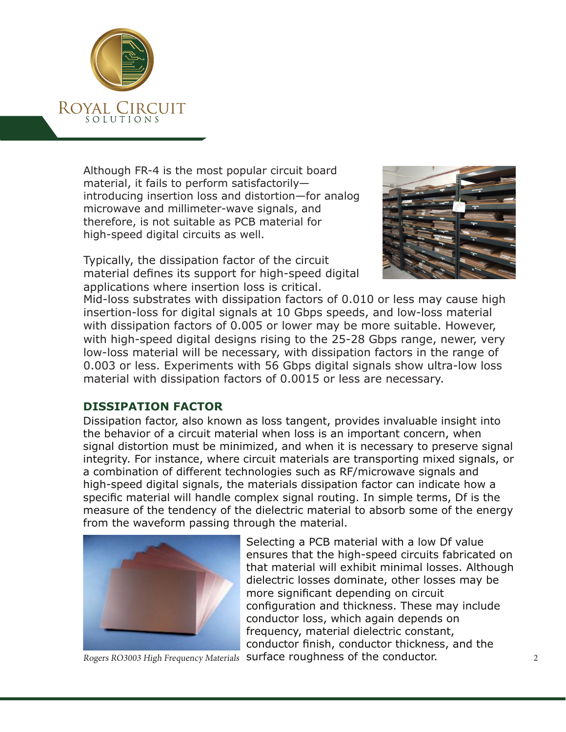

Although FR-4 is the most popular circuit board material, it fails to perform satisfactorily introducing insertion loss and distortion—for analog microwave and millimeter-wave signals, and therefore, is not suitable as PCB material for high-speed digital circuits as well.

Typically, the dissipation factor of the circuit material defines its support for high-speed digital applications where insertion loss is critical.



Mid-loss substrates with dissipation factors of 0.010 or less may cause high insertion-loss for digital signals at 10 Gbps speeds, and low-loss material with dissipation factors of 0.005 or lower may be more suitable. However, with high-speed digital designs rising to the 25-28 Gbps range, newer, very low-loss material will be necessary, with dissipation factors in the range of 0.003 or less. Experiments with 56 Gbps digital signals show ultra-low loss material with dissipation factors of 0.0015 or less are necessary.

#### **DISSIPATION FACTOR**

Dissipation factor, also known as loss tangent, provides invaluable insight into the behavior of a circuit material when loss is an important concern, when signal distortion must be minimized, and when it is necessary to preserve signal integrity. For instance, where circuit materials are transporting mixed signals, or a combination of different technologies such as RF/microwave signals and high-speed digital signals, the materials dissipation factor can indicate how a specific material will handle complex signal routing. In simple terms, Df is the measure of the tendency of the dielectric material to absorb some of the energy from the waveform passing through the material.



Selecting a PCB material with a low Df value ensures that the high-speed circuits fabricated on that material will exhibit minimal losses. Although dielectric losses dominate, other losses may be more significant depending on circuit configuration and thickness. These may include conductor loss, which again depends on frequency, material dielectric constant, conductor finish, conductor thickness, and the Rogers RO3003 High Frequency Materials surface roughness of the conductor.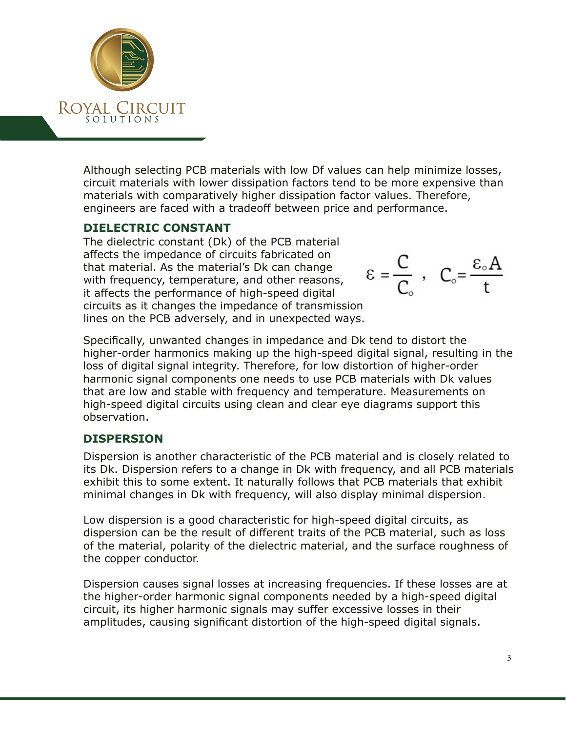

Although selecting PCB materials with low Df values can help minimize losses, circuit materials with lower dissipation factors tend to be more expensive than materials with comparatively higher dissipation factor values. Therefore, engineers are faced with a tradeoff between price and performance.

#### **DIELECTRIC CONSTANT**

The dielectric constant (Dk) of the PCB material affects the impedance of circuits fabricated on that material. As the material's Dk can change with frequency, temperature, and other reasons, it affects the performance of high-speed digital circuits as it changes the impedance of transmission lines on the PCB adversely, and in unexpected ways.

$$
\epsilon = \frac{C}{C_{\circ}} \ , \quad C_{\circ} = \frac{\epsilon_{\circ} A}{t}
$$

Specifically, unwanted changes in impedance and Dk tend to distort the higher-order harmonics making up the high-speed digital signal, resulting in the loss of digital signal integrity. Therefore, for low distortion of higher-order harmonic signal components one needs to use PCB materials with Dk values that are low and stable with frequency and temperature. Measurements on high-speed digital circuits using clean and clear eye diagrams support this observation.

#### **DISPERSION**

Dispersion is another characteristic of the PCB material and is closely related to its Dk. Dispersion refers to a change in Dk with frequency, and all PCB materials exhibit this to some extent. It naturally follows that PCB materials that exhibit minimal changes in Dk with frequency, will also display minimal dispersion.

Low dispersion is a good characteristic for high-speed digital circuits, as dispersion can be the result of different traits of the PCB material, such as loss of the material, polarity of the dielectric material, and the surface roughness of the copper conductor.

Dispersion causes signal losses at increasing frequencies. If these losses are at the higher-order harmonic signal components needed by a high-speed digital circuit, its higher harmonic signals may suffer excessive losses in their amplitudes, causing significant distortion of the high-speed digital signals.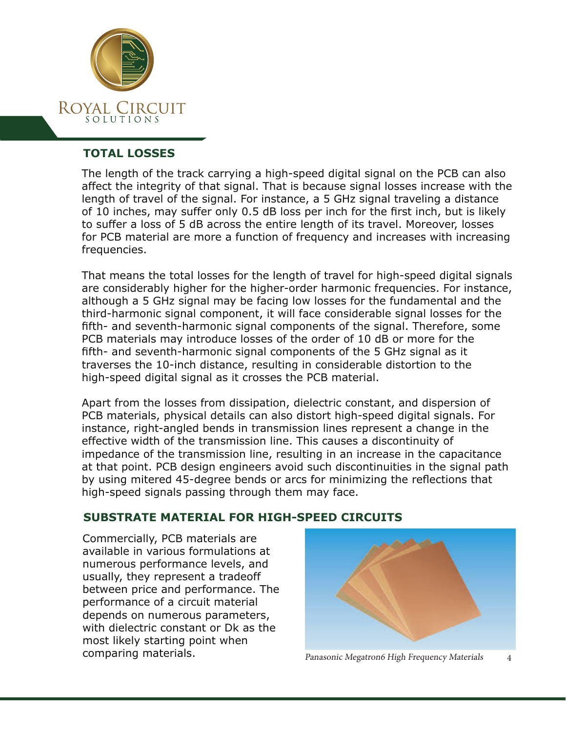

#### **TOTAL LOSSES**

The length of the track carrying a high-speed digital signal on the PCB can also affect the integrity of that signal. That is because signal losses increase with the length of travel of the signal. For instance, a 5 GHz signal traveling a distance of 10 inches, may suffer only 0.5 dB loss per inch for the first inch, but is likely to suffer a loss of 5 dB across the entire length of its travel. Moreover, losses for PCB material are more a function of frequency and increases with increasing frequencies.

That means the total losses for the length of travel for high-speed digital signals are considerably higher for the higher-order harmonic frequencies. For instance, although a 5 GHz signal may be facing low losses for the fundamental and the third-harmonic signal component, it will face considerable signal losses for the fifth- and seventh-harmonic signal components of the signal. Therefore, some PCB materials may introduce losses of the order of 10 dB or more for the fifth- and seventh-harmonic signal components of the 5 GHz signal as it traverses the 10-inch distance, resulting in considerable distortion to the high-speed digital signal as it crosses the PCB material.

Apart from the losses from dissipation, dielectric constant, and dispersion of PCB materials, physical details can also distort high-speed digital signals. For instance, right-angled bends in transmission lines represent a change in the effective width of the transmission line. This causes a discontinuity of impedance of the transmission line, resulting in an increase in the capacitance at that point. PCB design engineers avoid such discontinuities in the signal path by using mitered 45-degree bends or arcs for minimizing the reflections that high-speed signals passing through them may face.

#### **SUBSTRATE MATERIAL FOR HIGH-SPEED CIRCUITS**

Commercially, PCB materials are available in various formulations at numerous performance levels, and usually, they represent a tradeoff between price and performance. The performance of a circuit material depends on numerous parameters, with dielectric constant or Dk as the most likely starting point when comparing materials. The panasonic Megatron6 High Frequency Materials 4